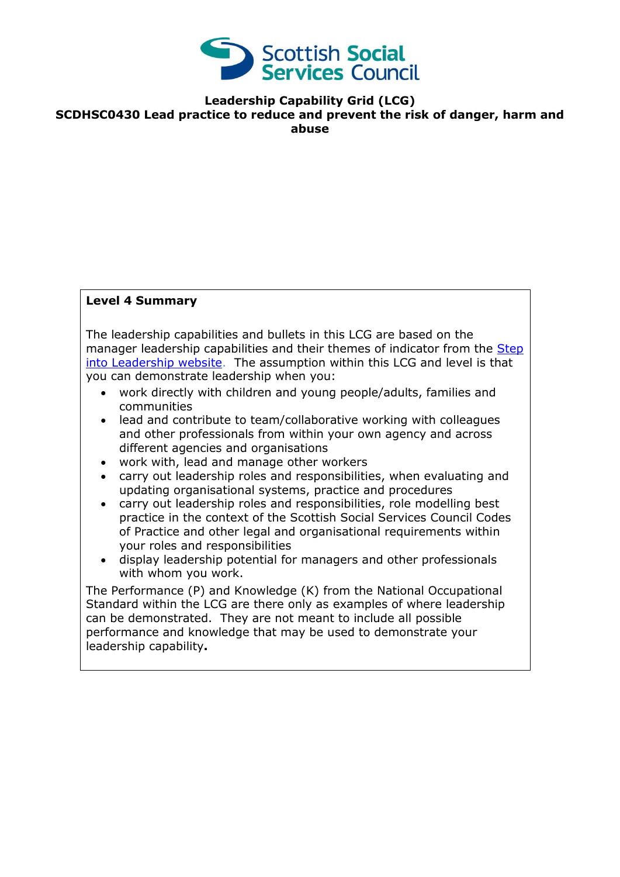

**Leadership Capability Grid (LCG) SCDHSC0430 Lead practice to reduce and prevent the risk of danger, harm and abuse**

## **Level 4 Summary**

The leadership capabilities and bullets in this LCG are based on the manager leadership capabilities and their themes of indicator from the Step [into Leadership website.](http://www.stepintoleadership.info/index.html) The assumption within this LCG and level is that you can demonstrate leadership when you:

- work directly with children and young people/adults, families and communities
- lead and contribute to team/collaborative working with colleagues and other professionals from within your own agency and across different agencies and organisations
- work with, lead and manage other workers
- carry out leadership roles and responsibilities, when evaluating and updating organisational systems, practice and procedures
- carry out leadership roles and responsibilities, role modelling best practice in the context of the Scottish Social Services Council Codes of Practice and other legal and organisational requirements within your roles and responsibilities
- display leadership potential for managers and other professionals with whom you work.

The Performance (P) and Knowledge (K) from the National Occupational Standard within the LCG are there only as examples of where leadership can be demonstrated. They are not meant to include all possible performance and knowledge that may be used to demonstrate your leadership capability**.**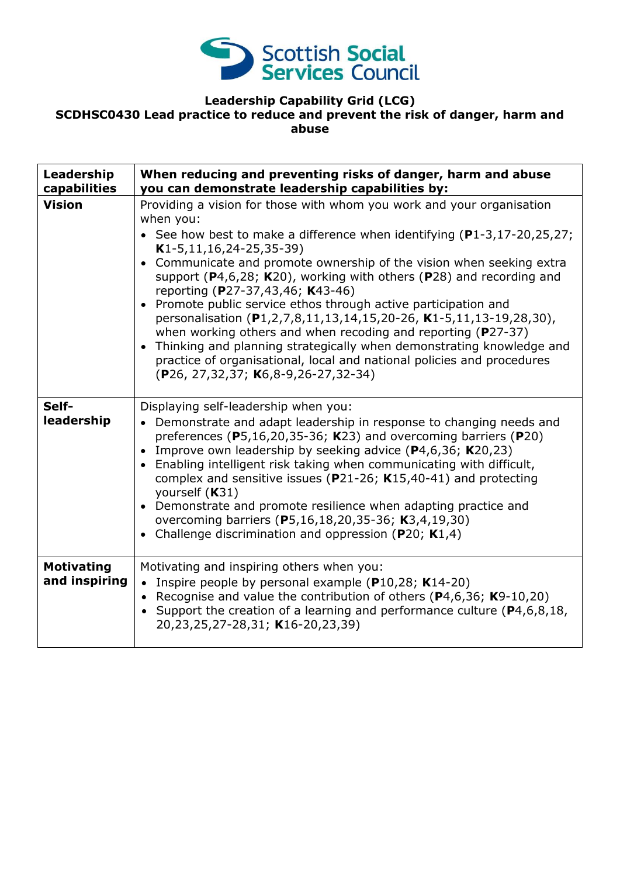

## **Leadership Capability Grid (LCG) SCDHSC0430 Lead practice to reduce and prevent the risk of danger, harm and abuse**

| Leadership<br>capabilities         | When reducing and preventing risks of danger, harm and abuse<br>you can demonstrate leadership capabilities by:                                                                                                                                                                                                                                                                                                                                                                                                                                                                                                                                                                                                                                                                                                          |
|------------------------------------|--------------------------------------------------------------------------------------------------------------------------------------------------------------------------------------------------------------------------------------------------------------------------------------------------------------------------------------------------------------------------------------------------------------------------------------------------------------------------------------------------------------------------------------------------------------------------------------------------------------------------------------------------------------------------------------------------------------------------------------------------------------------------------------------------------------------------|
| <b>Vision</b>                      | Providing a vision for those with whom you work and your organisation<br>when you:<br>• See how best to make a difference when identifying $(P1-3, 17-20, 25, 27)$ ;<br>$K1-5, 11, 16, 24-25, 35-39)$<br>Communicate and promote ownership of the vision when seeking extra<br>$\bullet$<br>support ( $P4,6,28$ ; K20), working with others ( $P28$ ) and recording and<br>reporting (P27-37,43,46; K43-46)<br>• Promote public service ethos through active participation and<br>personalisation (P1,2,7,8,11,13,14,15,20-26, K1-5,11,13-19,28,30),<br>when working others and when recoding and reporting ( $P27-37$ )<br>• Thinking and planning strategically when demonstrating knowledge and<br>practice of organisational, local and national policies and procedures<br>(P26, 27, 32, 37; K6, 8-9, 26-27, 32-34) |
| Self-<br>leadership                | Displaying self-leadership when you:<br>• Demonstrate and adapt leadership in response to changing needs and<br>preferences ( $P5,16,20,35-36$ ; K23) and overcoming barriers ( $P20$ )<br>Improve own leadership by seeking advice $(P4, 6, 36; K20, 23)$<br>Enabling intelligent risk taking when communicating with difficult,<br>$\bullet$<br>complex and sensitive issues ( $P$ 21-26; K15,40-41) and protecting<br>yourself (K31)<br>• Demonstrate and promote resilience when adapting practice and<br>overcoming barriers (P5,16,18,20,35-36; K3,4,19,30)<br>Challenge discrimination and oppression ( $P20$ ; K1,4)                                                                                                                                                                                             |
| <b>Motivating</b><br>and inspiring | Motivating and inspiring others when you:<br>• Inspire people by personal example ( $P10,28$ ; K14-20)<br>• Recognise and value the contribution of others ( $P$ 4,6,36; K9-10,20)<br>• Support the creation of a learning and performance culture ( $P4, 6, 8, 18$ ,<br>20,23,25,27-28,31; K16-20,23,39)                                                                                                                                                                                                                                                                                                                                                                                                                                                                                                                |